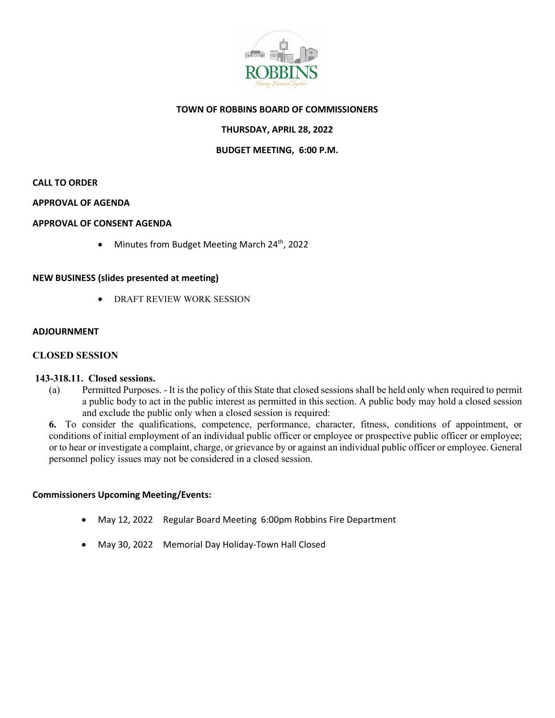

## **TOWN OF ROBBINS BOARD OF COMMISSIONERS**

# **THURSDAY, APRIL 28, 2022**

### **BUDGET MEETING, 6:00 P.M.**

### **CALL TO ORDER**

#### **APPROVAL OF AGENDA**

### **APPROVAL OF CONSENT AGENDA**

• Minutes from Budget Meeting March 24<sup>th</sup>, 2022

### **NEW BUSINESS (slides presented at meeting)**

• DRAFT REVIEW WORK SESSION

#### **ADJOURNMENT**

### **CLOSED SESSION**

#### **143-318.11. Closed sessions.**

(a) Permitted Purposes. - It is the policy of this State that closed sessions shall be held only when required to permit a public body to act in the public interest as permitted in this section. A public body may hold a closed session and exclude the public only when a closed session is required:

**6.** To consider the qualifications, competence, performance, character, fitness, conditions of appointment, or conditions of initial employment of an individual public officer or employee or prospective public officer or employee; or to hear or investigate a complaint, charge, or grievance by or against an individual public officer or employee. General personnel policy issues may not be considered in a closed session.

### **Commissioners Upcoming Meeting/Events:**

- May 12, 2022 Regular Board Meeting 6:00pm Robbins Fire Department
- May 30, 2022 Memorial Day Holiday-Town Hall Closed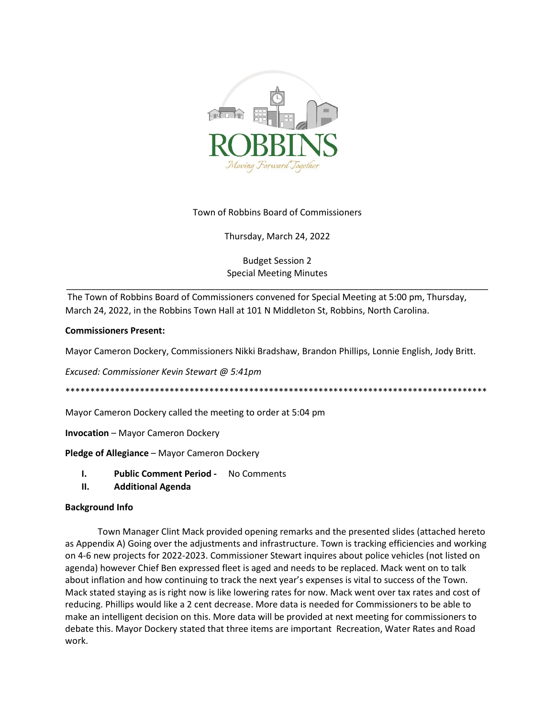

## Town of Robbins Board of Commissioners

Thursday, March 24, 2022

# Budget Session 2 Special Meeting Minutes

\_\_\_\_\_\_\_\_\_\_\_\_\_\_\_\_\_\_\_\_\_\_\_\_\_\_\_\_\_\_\_\_\_\_\_\_\_\_\_\_\_\_\_\_\_\_\_\_\_\_\_\_\_\_\_\_\_\_\_\_\_\_\_\_\_\_\_\_\_\_\_\_\_\_\_\_\_\_\_\_\_\_\_\_\_

The Town of Robbins Board of Commissioners convened for Special Meeting at 5:00 pm, Thursday, March 24, 2022, in the Robbins Town Hall at 101 N Middleton St, Robbins, North Carolina.

## **Commissioners Present:**

Mayor Cameron Dockery, Commissioners Nikki Bradshaw, Brandon Phillips, Lonnie English, Jody Britt.

*Excused: Commissioner Kevin Stewart @ 5:41pm*

\*\*\*\*\*\*\*\*\*\*\*\*\*\*\*\*\*\*\*\*\*\*\*\*\*\*\*\*\*\*\*\*\*\*\*\*\*\*\*\*\*\*\*\*\*\*\*\*\*\*\*\*\*\*\*\*\*\*\*\*\*\*\*\*\*\*\*\*\*\*\*\*\*\*\*\*\*\*\*\*\*\*\*\*\*

Mayor Cameron Dockery called the meeting to order at 5:04 pm

**Invocation** – Mayor Cameron Dockery

## **Pledge of Allegiance** – Mayor Cameron Dockery

- **I. Public Comment Period -** No Comments
- **II. Additional Agenda**

## **Background Info**

Town Manager Clint Mack provided opening remarks and the presented slides (attached hereto as Appendix A) Going over the adjustments and infrastructure. Town is tracking efficiencies and working on 4-6 new projects for 2022-2023. Commissioner Stewart inquires about police vehicles (not listed on agenda) however Chief Ben expressed fleet is aged and needs to be replaced. Mack went on to talk about inflation and how continuing to track the next year's expenses is vital to success of the Town. Mack stated staying as is right now is like lowering rates for now. Mack went over tax rates and cost of reducing. Phillips would like a 2 cent decrease. More data is needed for Commissioners to be able to make an intelligent decision on this. More data will be provided at next meeting for commissioners to debate this. Mayor Dockery stated that three items are important Recreation, Water Rates and Road work.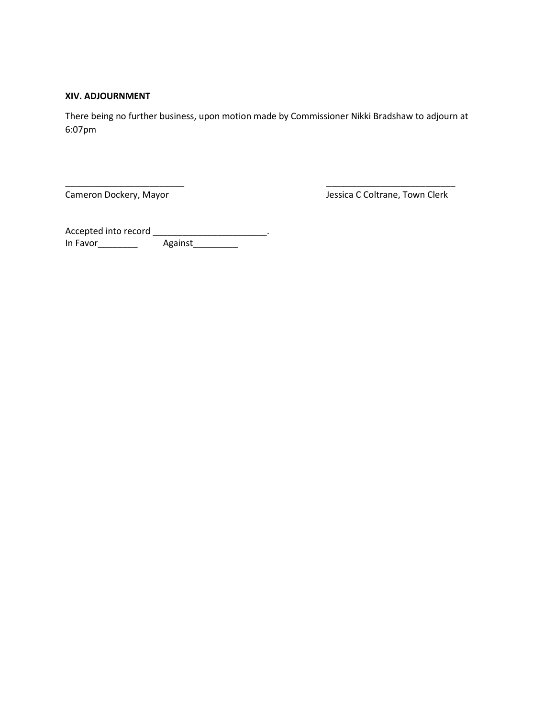## **XIV. ADJOURNMENT**

There being no further business, upon motion made by Commissioner Nikki Bradshaw to adjourn at 6:07pm

\_\_\_\_\_\_\_\_\_\_\_\_\_\_\_\_\_\_\_\_\_\_\_\_ \_\_\_\_\_\_\_\_\_\_\_\_\_\_\_\_\_\_\_\_\_\_\_\_\_\_

Cameron Dockery, Mayor **Cameron Dockery, Mayor** Jessica C Coltrane, Town Clerk

Accepted into record \_\_\_\_\_\_\_\_\_\_\_\_\_\_\_\_\_\_\_\_\_\_\_\_\_. In Favor\_\_\_\_\_\_\_\_ Against\_\_\_\_\_\_\_\_\_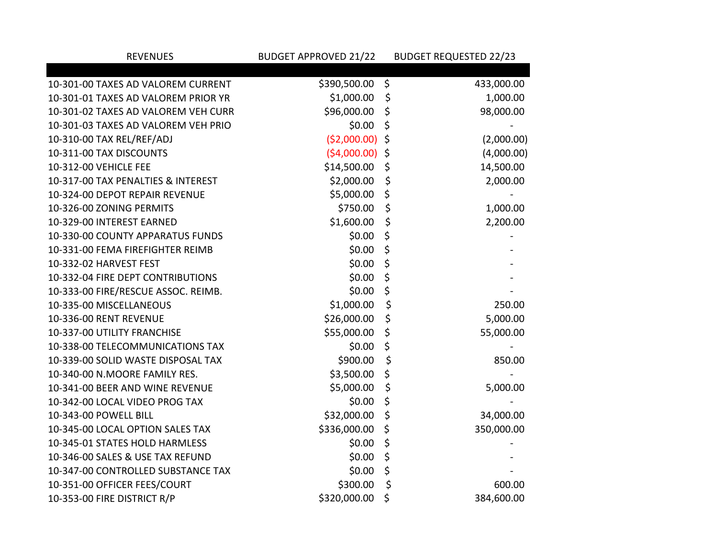| <b>REVENUES</b>                     | <b>BUDGET APPROVED 21/22</b> |         | <b>BUDGET REQUESTED 22/23</b> |
|-------------------------------------|------------------------------|---------|-------------------------------|
|                                     |                              |         |                               |
| 10-301-00 TAXES AD VALOREM CURRENT  | \$390,500.00                 | $\zeta$ | 433,000.00                    |
| 10-301-01 TAXES AD VALOREM PRIOR YR | \$1,000.00                   | \$      | 1,000.00                      |
| 10-301-02 TAXES AD VALOREM VEH CURR | \$96,000.00                  | \$      | 98,000.00                     |
| 10-301-03 TAXES AD VALOREM VEH PRIO | \$0.00                       | \$      |                               |
| 10-310-00 TAX REL/REF/ADJ           | $(52,000.00)$ \$             |         | (2,000.00)                    |
| 10-311-00 TAX DISCOUNTS             | $(54,000.00)$ \$             |         | (4,000.00)                    |
| 10-312-00 VEHICLE FEE               | \$14,500.00                  | \$      | 14,500.00                     |
| 10-317-00 TAX PENALTIES & INTEREST  | \$2,000.00                   | \$      | 2,000.00                      |
| 10-324-00 DEPOT REPAIR REVENUE      | \$5,000.00                   | \$      |                               |
| 10-326-00 ZONING PERMITS            | \$750.00                     | \$      | 1,000.00                      |
| 10-329-00 INTEREST EARNED           | \$1,600.00                   | \$      | 2,200.00                      |
| 10-330-00 COUNTY APPARATUS FUNDS    | \$0.00                       | \$      |                               |
| 10-331-00 FEMA FIREFIGHTER REIMB    | \$0.00                       | \$      |                               |
| 10-332-02 HARVEST FEST              | \$0.00                       | \$      |                               |
| 10-332-04 FIRE DEPT CONTRIBUTIONS   | \$0.00                       | \$      |                               |
| 10-333-00 FIRE/RESCUE ASSOC. REIMB. | \$0.00                       | \$      |                               |
| 10-335-00 MISCELLANEOUS             | \$1,000.00                   | \$      | 250.00                        |
| 10-336-00 RENT REVENUE              | \$26,000.00                  | \$      | 5,000.00                      |
| 10-337-00 UTILITY FRANCHISE         | \$55,000.00                  | \$      | 55,000.00                     |
| 10-338-00 TELECOMMUNICATIONS TAX    | \$0.00                       | \$      |                               |
| 10-339-00 SOLID WASTE DISPOSAL TAX  | \$900.00                     | \$      | 850.00                        |
| 10-340-00 N.MOORE FAMILY RES.       | \$3,500.00                   | \$      |                               |
| 10-341-00 BEER AND WINE REVENUE     | \$5,000.00                   | \$      | 5,000.00                      |
| 10-342-00 LOCAL VIDEO PROG TAX      | \$0.00                       | \$      |                               |
| 10-343-00 POWELL BILL               | \$32,000.00                  | \$      | 34,000.00                     |
| 10-345-00 LOCAL OPTION SALES TAX    | \$336,000.00                 | \$      | 350,000.00                    |
| 10-345-01 STATES HOLD HARMLESS      | \$0.00                       | \$      |                               |
| 10-346-00 SALES & USE TAX REFUND    | \$0.00                       | \$      |                               |
| 10-347-00 CONTROLLED SUBSTANCE TAX  | \$0.00                       | \$      |                               |
| 10-351-00 OFFICER FEES/COURT        | \$300.00                     | \$      | 600.00                        |
| 10-353-00 FIRE DISTRICT R/P         | \$320,000.00                 | \$      | 384,600.00                    |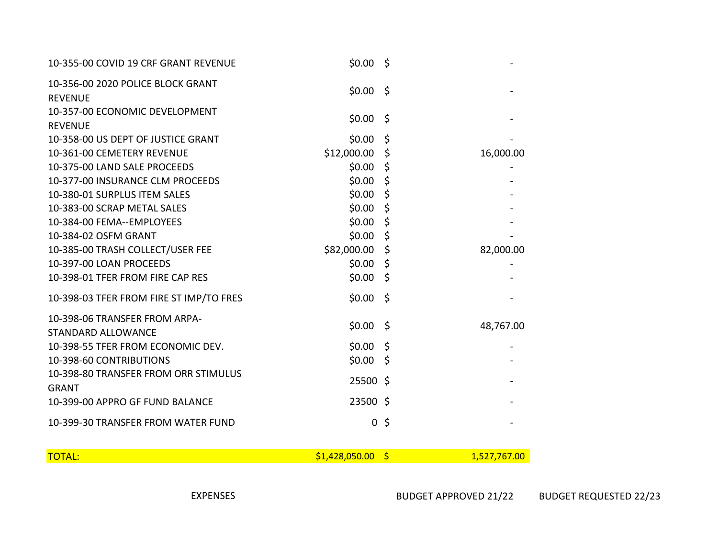| 10-355-00 COVID 19 CRF GRANT REVENUE                | $$0.00$ \$     |                |              |
|-----------------------------------------------------|----------------|----------------|--------------|
| 10-356-00 2020 POLICE BLOCK GRANT<br><b>REVENUE</b> | $$0.00$ \$     |                |              |
| 10-357-00 ECONOMIC DEVELOPMENT<br><b>REVENUE</b>    | $$0.00$ \$     |                |              |
| 10-358-00 US DEPT OF JUSTICE GRANT                  | \$0.00         | \$             |              |
| 10-361-00 CEMETERY REVENUE                          | \$12,000.00    | \$             | 16,000.00    |
| 10-375-00 LAND SALE PROCEEDS                        | \$0.00         | $\zeta$        |              |
| 10-377-00 INSURANCE CLM PROCEEDS                    | \$0.00         | $\zeta$        |              |
| 10-380-01 SURPLUS ITEM SALES                        | \$0.00         | $\zeta$        |              |
| 10-383-00 SCRAP METAL SALES                         | \$0.00         | $\zeta$        |              |
| 10-384-00 FEMA--EMPLOYEES                           | \$0.00         | \$             |              |
| 10-384-02 OSFM GRANT                                | \$0.00         | $\zeta$        |              |
| 10-385-00 TRASH COLLECT/USER FEE                    | \$82,000.00    | \$             | 82,000.00    |
| 10-397-00 LOAN PROCEEDS                             | \$0.00         | $\zeta$        |              |
| 10-398-01 TFER FROM FIRE CAP RES                    | \$0.00         | $\zeta$        |              |
| 10-398-03 TFER FROM FIRE ST IMP/TO FRES             | \$0.00         | - \$           |              |
| 10-398-06 TRANSFER FROM ARPA-                       | \$0.00         | - \$           | 48,767.00    |
| <b>STANDARD ALLOWANCE</b>                           |                |                |              |
| 10-398-55 TFER FROM ECONOMIC DEV.                   | \$0.00         | - \$           |              |
| 10-398-60 CONTRIBUTIONS                             | $$0.00$ \$     |                |              |
| 10-398-80 TRANSFER FROM ORR STIMULUS                | 25500 \$       |                |              |
| <b>GRANT</b>                                        |                |                |              |
| 10-399-00 APPRO GF FUND BALANCE                     | 23500 \$       |                |              |
| 10-399-30 TRANSFER FROM WATER FUND                  |                | 0 <sup>5</sup> |              |
| <b>TOTAL:</b>                                       | \$1,428,050.00 | $\mathsf{S}$   | 1,527,767.00 |

EXPENSES BUDGET APPROVED 21/22 BUDGET REQUESTED 22/23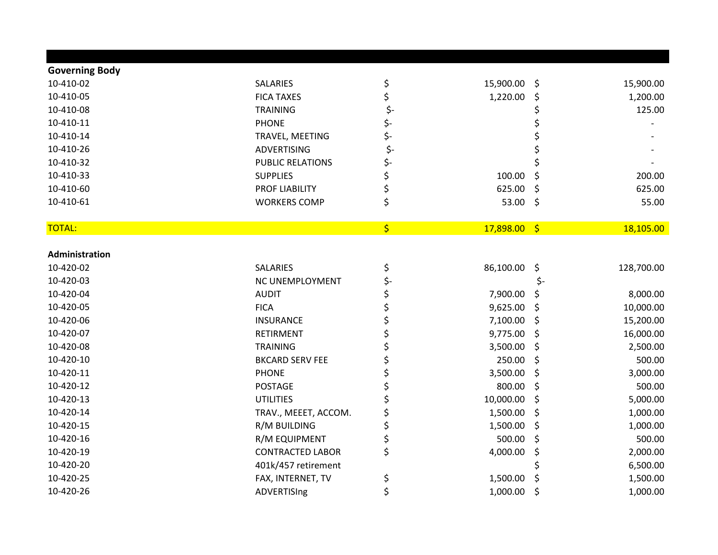| <b>Governing Body</b> |                         |     |           |                    |            |
|-----------------------|-------------------------|-----|-----------|--------------------|------------|
| 10-410-02             | <b>SALARIES</b>         | \$  | 15,900.00 | \$                 | 15,900.00  |
| 10-410-05             | <b>FICA TAXES</b>       | \$  | 1,220.00  | \$                 | 1,200.00   |
| 10-410-08             | <b>TRAINING</b>         | \$- |           |                    | 125.00     |
| 10-410-11             | <b>PHONE</b>            | \$- |           |                    |            |
| 10-410-14             | TRAVEL, MEETING         | \$- |           |                    |            |
| 10-410-26             | ADVERTISING             | \$- |           |                    |            |
| 10-410-32             | <b>PUBLIC RELATIONS</b> | \$- |           | Ś                  |            |
| 10-410-33             | <b>SUPPLIES</b>         | \$  | 100.00    | \$                 | 200.00     |
| 10-410-60             | PROF LIABILITY          | \$  | 625.00    | $\zeta$            | 625.00     |
| 10-410-61             | <b>WORKERS COMP</b>     | \$  | 53.00     | $\ddot{\varsigma}$ | 55.00      |
| <b>TOTAL:</b>         |                         | \$  | 17,898.00 | $\sqrt{5}$         | 18,105.00  |
|                       |                         |     |           |                    |            |
| Administration        |                         |     |           |                    |            |
| 10-420-02             | SALARIES                | \$  | 86,100.00 | \$                 | 128,700.00 |
| 10-420-03             | NC UNEMPLOYMENT         | \$- |           | \$-                |            |
| 10-420-04             | <b>AUDIT</b>            | \$  | 7,900.00  | \$                 | 8,000.00   |
| 10-420-05             | <b>FICA</b>             | \$  | 9,625.00  | \$                 | 10,000.00  |
| 10-420-06             | <b>INSURANCE</b>        | \$  | 7,100.00  | \$                 | 15,200.00  |
| 10-420-07             | <b>RETIRMENT</b>        | \$  | 9,775.00  | \$                 | 16,000.00  |
| 10-420-08             | <b>TRAINING</b>         | \$  | 3,500.00  | \$                 | 2,500.00   |
| 10-420-10             | <b>BKCARD SERV FEE</b>  | \$  | 250.00    | \$                 | 500.00     |
| 10-420-11             | <b>PHONE</b>            | \$  | 3,500.00  | \$                 | 3,000.00   |
| 10-420-12             | POSTAGE                 | \$  | 800.00    | \$                 | 500.00     |
| 10-420-13             | <b>UTILITIES</b>        | \$  | 10,000.00 | \$                 | 5,000.00   |
| 10-420-14             | TRAV., MEEET, ACCOM.    | \$  | 1,500.00  | \$                 | 1,000.00   |
| 10-420-15             | R/M BUILDING            | \$  | 1,500.00  | \$                 | 1,000.00   |
| 10-420-16             | R/M EQUIPMENT           | \$  | 500.00    | \$                 | 500.00     |
| 10-420-19             | <b>CONTRACTED LABOR</b> | \$  | 4,000.00  | \$                 | 2,000.00   |
| 10-420-20             | 401k/457 retirement     |     |           | \$                 | 6,500.00   |
| 10-420-25             | FAX, INTERNET, TV       | \$  | 1,500.00  | \$                 | 1,500.00   |
| 10-420-26             | ADVERTISIng             | \$  | 1,000.00  | \$                 | 1,000.00   |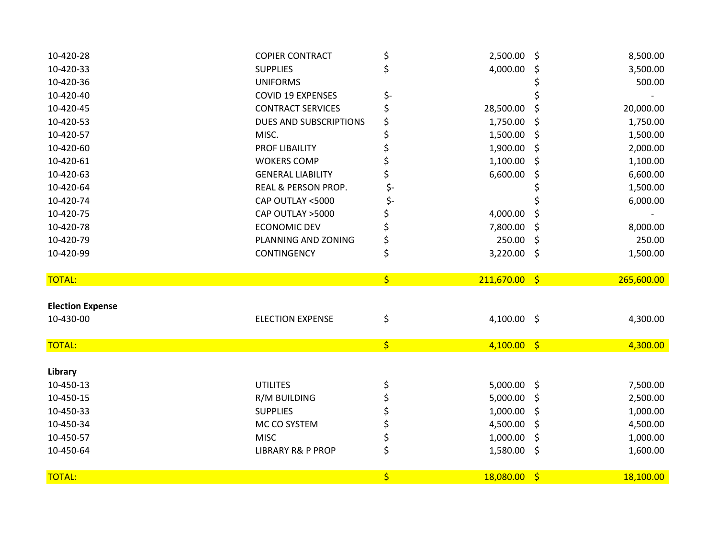| 10-420-28               | <b>COPIER CONTRACT</b>                      | \$                                  | 2,500.00        | \$  | 8,500.00   |
|-------------------------|---------------------------------------------|-------------------------------------|-----------------|-----|------------|
| 10-420-33               | <b>SUPPLIES</b>                             | \$                                  | 4,000.00        | S   | 3,500.00   |
| 10-420-36               | <b>UNIFORMS</b>                             |                                     |                 |     | 500.00     |
| 10-420-40               | <b>COVID 19 EXPENSES</b>                    | \$-                                 |                 |     |            |
| 10-420-45               | <b>CONTRACT SERVICES</b>                    | \$                                  | 28,500.00       | \$  | 20,000.00  |
| 10-420-53               | <b>DUES AND SUBSCRIPTIONS</b>               | \$                                  | 1,750.00        | \$  | 1,750.00   |
| 10-420-57               | MISC.                                       | \$                                  | 1,500.00        | \$  | 1,500.00   |
| 10-420-60               | <b>PROF LIBAILITY</b>                       | \$                                  | 1,900.00        | \$  | 2,000.00   |
| 10-420-61               | <b>WOKERS COMP</b>                          | \$                                  | 1,100.00        | \$. | 1,100.00   |
| 10-420-63               | <b>GENERAL LIABILITY</b>                    | \$                                  | 6,600.00        | \$  | 6,600.00   |
| 10-420-64               | REAL & PERSON PROP.                         | \$-                                 |                 |     | 1,500.00   |
| 10-420-74               | CAP OUTLAY <5000                            | \$-                                 |                 |     | 6,000.00   |
| 10-420-75               | CAP OUTLAY >5000                            | \$                                  | 4,000.00        | \$  |            |
| 10-420-78               | <b>ECONOMIC DEV</b>                         | \$                                  | 7,800.00        | \$  | 8,000.00   |
| 10-420-79               | PLANNING AND ZONING                         | \$                                  | 250.00          | \$  | 250.00     |
| 10-420-99               | <b>CONTINGENCY</b>                          | \$                                  | $3,220.00$ \$   |     | 1,500.00   |
|                         |                                             |                                     |                 |     |            |
|                         |                                             |                                     |                 |     |            |
| <b>TOTAL:</b>           |                                             | $\left  \boldsymbol{\zeta} \right $ | $211,670.00$ \$ |     | 265,600.00 |
|                         |                                             |                                     |                 |     |            |
| <b>Election Expense</b> |                                             |                                     |                 |     |            |
| 10-430-00               | <b>ELECTION EXPENSE</b>                     | \$                                  | 4,100.00 \$     |     | 4,300.00   |
|                         |                                             |                                     |                 |     |            |
| <b>TOTAL:</b>           |                                             | $\left  \boldsymbol{\zeta} \right $ | $4,100.00$ \$   |     | 4,300.00   |
|                         |                                             |                                     |                 |     |            |
| Library                 |                                             |                                     |                 |     |            |
| 10-450-13               | <b>UTILITES</b>                             | \$                                  | $5,000.00$ \$   |     | 7,500.00   |
| 10-450-15               | R/M BUILDING                                | \$                                  | 5,000.00        | \$  | 2,500.00   |
| 10-450-33               | <b>SUPPLIES</b>                             | \$                                  | 1,000.00        | \$  | 1,000.00   |
| 10-450-34               | MC CO SYSTEM                                | \$                                  | 4,500.00        | \$  | 4,500.00   |
| 10-450-57<br>10-450-64  | <b>MISC</b><br><b>LIBRARY R&amp; P PROP</b> | \$                                  | 1,000.00        | \$  | 1,000.00   |
|                         |                                             | \$                                  | 1,580.00        | \$  | 1,600.00   |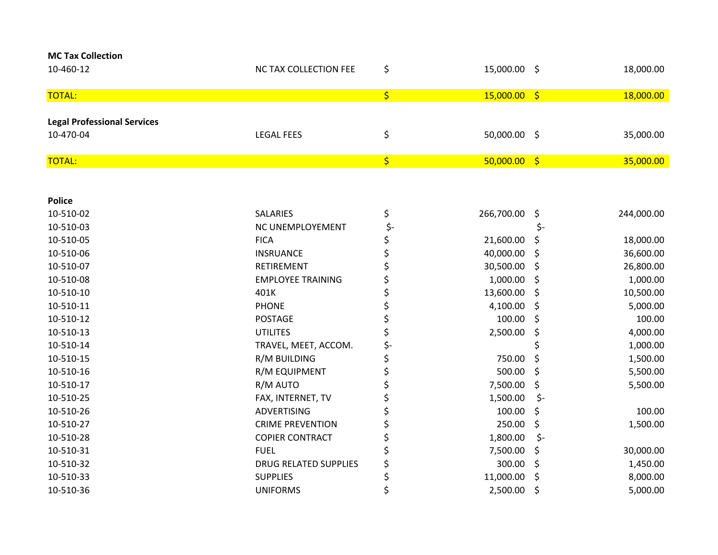| <b>MC Tax Collection</b>           |                              |                                     |                |            |            |
|------------------------------------|------------------------------|-------------------------------------|----------------|------------|------------|
| 10-460-12                          | NC TAX COLLECTION FEE        | \$                                  | 15,000.00 \$   |            | 18,000.00  |
| <b>TOTAL:</b>                      |                              | $\left  \boldsymbol{\zeta} \right $ | $15,000.00$ \$ |            | 18,000.00  |
|                                    |                              |                                     |                |            |            |
| <b>Legal Professional Services</b> |                              |                                     |                |            |            |
| 10-470-04                          | <b>LEGAL FEES</b>            | \$                                  | 50,000.00 \$   |            | 35,000.00  |
| <b>TOTAL:</b>                      |                              | $\left  \boldsymbol{\zeta} \right $ | 50,000.00      | $\sqrt{5}$ | 35,000.00  |
|                                    |                              |                                     |                |            |            |
| <b>Police</b>                      |                              |                                     |                |            |            |
| 10-510-02                          | <b>SALARIES</b>              | \$                                  | 266,700.00     | \$         | 244,000.00 |
| 10-510-03                          | NC UNEMPLOYEMENT             | \$-                                 |                | \$-        |            |
| 10-510-05                          | <b>FICA</b>                  | \$                                  | 21,600.00      | \$         | 18,000.00  |
| 10-510-06                          | <b>INSRUANCE</b>             | \$                                  | 40,000.00      | \$         | 36,600.00  |
| 10-510-07                          | RETIREMENT                   | \$                                  | 30,500.00      | \$         | 26,800.00  |
| 10-510-08                          | <b>EMPLOYEE TRAINING</b>     | \$                                  | 1,000.00       | \$         | 1,000.00   |
| 10-510-10                          | 401K                         | \$                                  | 13,600.00      | \$         | 10,500.00  |
| 10-510-11                          | <b>PHONE</b>                 | \$                                  | 4,100.00       | \$         | 5,000.00   |
| 10-510-12                          | <b>POSTAGE</b>               | \$                                  | 100.00         | \$         | 100.00     |
| 10-510-13                          | <b>UTILITES</b>              | \$                                  | 2,500.00       | \$         | 4,000.00   |
| 10-510-14                          | TRAVEL, MEET, ACCOM.         | \$-                                 |                | \$         | 1,000.00   |
| 10-510-15                          | R/M BUILDING                 | \$                                  | 750.00         | \$         | 1,500.00   |
| 10-510-16                          | R/M EQUIPMENT                | \$                                  | 500.00         | \$         | 5,500.00   |
| 10-510-17                          | R/M AUTO                     | \$                                  | 7,500.00       | \$         | 5,500.00   |
| 10-510-25                          | FAX, INTERNET, TV            | \$                                  | 1,500.00       | \$-        |            |
| 10-510-26                          | <b>ADVERTISING</b>           | \$                                  | 100.00         | \$         | 100.00     |
| 10-510-27                          | <b>CRIME PREVENTION</b>      | \$                                  | 250.00         | \$         | 1,500.00   |
| 10-510-28                          | <b>COPIER CONTRACT</b>       | \$                                  | 1,800.00       | \$-        |            |
| 10-510-31                          | <b>FUEL</b>                  | \$                                  | 7,500.00       | \$         | 30,000.00  |
| 10-510-32                          | <b>DRUG RELATED SUPPLIES</b> | \$                                  | 300.00         | \$         | 1,450.00   |
| 10-510-33                          | <b>SUPPLIES</b>              | \$                                  | 11,000.00      | \$         | 8,000.00   |
| 10-510-36                          | <b>UNIFORMS</b>              | \$                                  | 2,500.00       | \$         | 5,000.00   |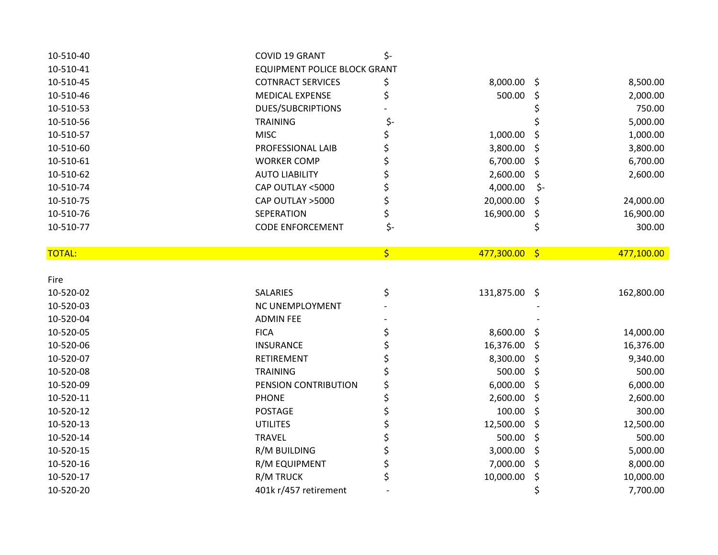| 10-510-40     | COVID 19 GRANT                      | \$-                                 |               |     |            |
|---------------|-------------------------------------|-------------------------------------|---------------|-----|------------|
| 10-510-41     | <b>EQUIPMENT POLICE BLOCK GRANT</b> |                                     |               |     |            |
| 10-510-45     | <b>COTNRACT SERVICES</b>            | \$                                  | 8,000.00 \$   |     | 8,500.00   |
| 10-510-46     | MEDICAL EXPENSE                     | \$                                  | 500.00        | \$  | 2,000.00   |
| 10-510-53     | <b>DUES/SUBCRIPTIONS</b>            |                                     |               |     | 750.00     |
| 10-510-56     | <b>TRAINING</b>                     | \$-                                 |               |     | 5,000.00   |
| 10-510-57     | <b>MISC</b>                         | \$                                  | 1,000.00      | \$  | 1,000.00   |
| 10-510-60     | PROFESSIONAL LAIB                   | \$                                  | 3,800.00      | \$  | 3,800.00   |
| 10-510-61     | <b>WORKER COMP</b>                  | \$                                  | 6,700.00      | \$  | 6,700.00   |
| 10-510-62     | <b>AUTO LIABILITY</b>               | \$                                  | 2,600.00      | \$  | 2,600.00   |
| 10-510-74     | CAP OUTLAY <5000                    | \$                                  | 4,000.00      | \$- |            |
| 10-510-75     | CAP OUTLAY >5000                    | \$                                  | 20,000.00     | \$, | 24,000.00  |
| 10-510-76     | SEPERATION                          | \$                                  | 16,900.00     | \$  | 16,900.00  |
| 10-510-77     | <b>CODE ENFORCEMENT</b>             | \$-                                 |               | \$  | 300.00     |
|               |                                     |                                     |               |     |            |
| <b>TOTAL:</b> |                                     | $\left  \boldsymbol{\zeta} \right $ | 477,300.00 \$ |     | 477,100.00 |
|               |                                     |                                     |               |     |            |
| Fire          |                                     |                                     |               |     |            |
| 10-520-02     | SALARIES                            | \$                                  | 131,875.00 \$ |     | 162,800.00 |
| 10-520-03     | NC UNEMPLOYMENT                     |                                     |               |     |            |
| 10-520-04     | <b>ADMIN FEE</b>                    |                                     |               |     |            |
| 10-520-05     | <b>FICA</b>                         | \$                                  | 8,600.00      | \$, | 14,000.00  |
| 10-520-06     | <b>INSURANCE</b>                    | \$                                  | 16,376.00     | \$  | 16,376.00  |
| 10-520-07     | <b>RETIREMENT</b>                   | \$                                  | 8,300.00      | \$  | 9,340.00   |
| 10-520-08     | <b>TRAINING</b>                     | \$                                  | 500.00        | \$  | 500.00     |
| 10-520-09     | PENSION CONTRIBUTION                | \$                                  | 6,000.00      | \$  | 6,000.00   |
| 10-520-11     | <b>PHONE</b>                        | \$                                  | 2,600.00      | \$  | 2,600.00   |
| 10-520-12     | <b>POSTAGE</b>                      | \$                                  | 100.00        | \$  | 300.00     |
| 10-520-13     | <b>UTILITES</b>                     | \$                                  | 12,500.00     | \$  | 12,500.00  |
| 10-520-14     | <b>TRAVEL</b>                       | \$                                  | 500.00        | \$  | 500.00     |
| 10-520-15     | R/M BUILDING                        | \$                                  | 3,000.00      | \$  | 5,000.00   |
| 10-520-16     | R/M EQUIPMENT                       | \$                                  | 7,000.00      | \$  | 8,000.00   |
| 10-520-17     | R/M TRUCK                           | \$                                  | 10,000.00     | \$  | 10,000.00  |
| 10-520-20     | 401k r/457 retirement               |                                     |               | \$  | 7,700.00   |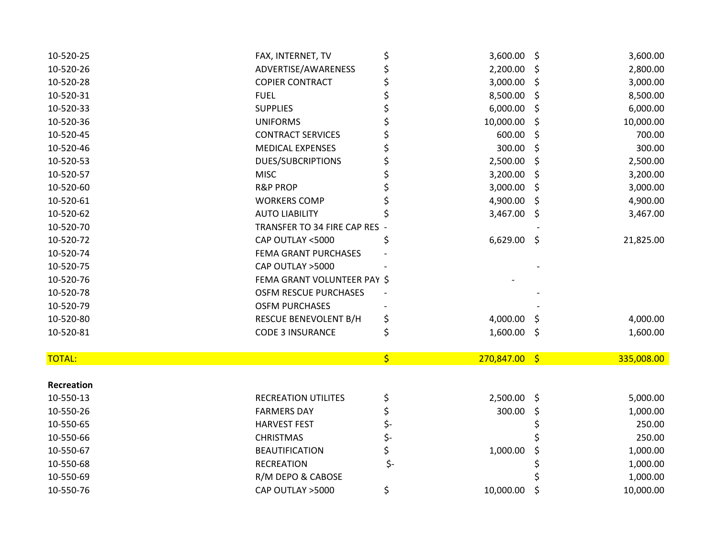| 10-520-25     | FAX, INTERNET, TV            | \$  | 3,600.00        | \$  | 3,600.00   |
|---------------|------------------------------|-----|-----------------|-----|------------|
| 10-520-26     | ADVERTISE/AWARENESS          | \$  | 2,200.00        | \$  | 2,800.00   |
| 10-520-28     | <b>COPIER CONTRACT</b>       | \$  | 3,000.00        | \$  | 3,000.00   |
| 10-520-31     | <b>FUEL</b>                  | \$  | 8,500.00        | \$  | 8,500.00   |
| 10-520-33     | <b>SUPPLIES</b>              | \$  | 6,000.00        | \$  | 6,000.00   |
| 10-520-36     | <b>UNIFORMS</b>              | \$  | 10,000.00       | \$  | 10,000.00  |
| 10-520-45     | <b>CONTRACT SERVICES</b>     |     | 600.00          | \$. | 700.00     |
| 10-520-46     | <b>MEDICAL EXPENSES</b>      |     | 300.00          | \$  | 300.00     |
| 10-520-53     | <b>DUES/SUBCRIPTIONS</b>     |     | 2,500.00        | \$  | 2,500.00   |
| 10-520-57     | <b>MISC</b>                  |     | 3,200.00        | \$  | 3,200.00   |
| 10-520-60     | <b>R&amp;P PROP</b>          | \$  | 3,000.00        | \$  | 3,000.00   |
| 10-520-61     | <b>WORKERS COMP</b>          |     | 4,900.00        | \$  | 4,900.00   |
| 10-520-62     | <b>AUTO LIABILITY</b>        |     | 3,467.00        | \$  | 3,467.00   |
| 10-520-70     | TRANSFER TO 34 FIRE CAP RES  |     |                 |     |            |
| 10-520-72     | CAP OUTLAY <5000             | \$  | $6,629.00$ \$   |     | 21,825.00  |
| 10-520-74     | FEMA GRANT PURCHASES         |     |                 |     |            |
| 10-520-75     | CAP OUTLAY >5000             |     |                 |     |            |
| 10-520-76     | FEMA GRANT VOLUNTEER PAY \$  |     |                 |     |            |
| 10-520-78     | <b>OSFM RESCUE PURCHASES</b> |     |                 |     |            |
| 10-520-79     | <b>OSFM PURCHASES</b>        |     |                 |     |            |
| 10-520-80     | RESCUE BENEVOLENT B/H        | \$  | 4,000.00        | S   | 4,000.00   |
| 10-520-81     | <b>CODE 3 INSURANCE</b>      | \$  | 1,600.00        | -\$ | 1,600.00   |
|               |                              |     |                 |     |            |
| <b>TOTAL:</b> |                              | \$  | $270,847.00$ \$ |     | 335,008.00 |
| Recreation    |                              |     |                 |     |            |
| 10-550-13     | <b>RECREATION UTILITES</b>   | \$  | $2,500.00$ \$   |     | 5,000.00   |
| 10-550-26     | <b>FARMERS DAY</b>           | \$  | 300.00          | \$  | 1,000.00   |
| 10-550-65     | <b>HARVEST FEST</b>          | \$- |                 |     | 250.00     |
| 10-550-66     | <b>CHRISTMAS</b>             | \$- |                 |     | 250.00     |
| 10-550-67     | <b>BEAUTIFICATION</b>        | \$  | 1,000.00        | S   | 1,000.00   |
| 10-550-68     | <b>RECREATION</b>            | \$- |                 |     | 1,000.00   |
| 10-550-69     | R/M DEPO & CABOSE            |     |                 |     | 1,000.00   |
| 10-550-76     | CAP OUTLAY >5000             | \$  | 10,000.00       | \$  | 10,000.00  |
|               |                              |     |                 |     |            |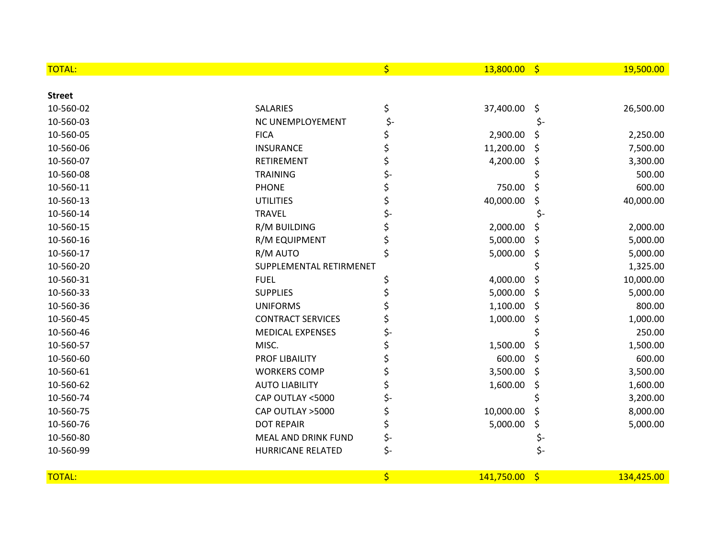| <b>TOTAL:</b> |                          | \$  | 13,800.00  | - \$                    | 19,500.00  |
|---------------|--------------------------|-----|------------|-------------------------|------------|
| <b>Street</b> |                          |     |            |                         |            |
| 10-560-02     | <b>SALARIES</b>          | \$  | 37,400.00  | \$                      | 26,500.00  |
| 10-560-03     | NC UNEMPLOYEMENT         | \$- |            | \$-                     |            |
| 10-560-05     | <b>FICA</b>              | \$  | 2,900.00   | S                       | 2,250.00   |
| 10-560-06     | <b>INSURANCE</b>         | \$  | 11,200.00  | \$                      | 7,500.00   |
| 10-560-07     | <b>RETIREMENT</b>        | \$  | 4,200.00   | \$                      | 3,300.00   |
| 10-560-08     | <b>TRAINING</b>          | \$- |            |                         | 500.00     |
| 10-560-11     | <b>PHONE</b>             |     | 750.00     | \$                      | 600.00     |
| 10-560-13     | <b>UTILITIES</b>         | \$  | 40,000.00  | \$                      | 40,000.00  |
| 10-560-14     | <b>TRAVEL</b>            | \$- |            |                         |            |
| 10-560-15     | R/M BUILDING             |     | 2,000.00   | Ş                       | 2,000.00   |
| 10-560-16     | R/M EQUIPMENT            |     | 5,000.00   | \$                      | 5,000.00   |
| 10-560-17     | R/M AUTO                 | \$  | 5,000.00   | \$                      | 5,000.00   |
| 10-560-20     | SUPPLEMENTAL RETIRMENET  |     |            |                         | 1,325.00   |
| 10-560-31     | <b>FUEL</b>              |     | 4,000.00   | \$                      | 10,000.00  |
| 10-560-33     | <b>SUPPLIES</b>          |     | 5,000.00   | \$                      | 5,000.00   |
| 10-560-36     | <b>UNIFORMS</b>          |     | 1,100.00   | \$                      | 800.00     |
| 10-560-45     | <b>CONTRACT SERVICES</b> |     | 1,000.00   | \$                      | 1,000.00   |
| 10-560-46     | <b>MEDICAL EXPENSES</b>  | \$- |            |                         | 250.00     |
| 10-560-57     | MISC.                    |     | 1,500.00   | \$                      | 1,500.00   |
| 10-560-60     | PROF LIBAILITY           |     | 600.00     | \$                      | 600.00     |
| 10-560-61     | <b>WORKERS COMP</b>      | \$  | 3,500.00   | \$                      | 3,500.00   |
| 10-560-62     | <b>AUTO LIABILITY</b>    | \$  | 1,600.00   | \$                      | 1,600.00   |
| 10-560-74     | CAP OUTLAY <5000         | \$- |            |                         | 3,200.00   |
| 10-560-75     | CAP OUTLAY >5000         | \$  | 10,000.00  | \$                      | 8,000.00   |
| 10-560-76     | <b>DOT REPAIR</b>        | \$  | 5,000.00   | \$                      | 5,000.00   |
| 10-560-80     | MEAL AND DRINK FUND      | \$- |            | \$-                     |            |
| 10-560-99     | <b>HURRICANE RELATED</b> | \$- |            | \$-                     |            |
| <b>TOTAL:</b> |                          | \$  | 141,750.00 | $\overline{\mathsf{S}}$ | 134,425.00 |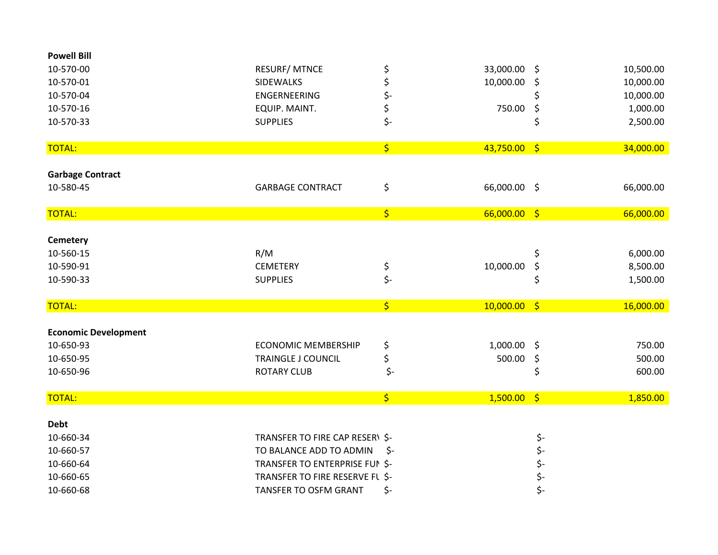| <b>Powell Bill</b>          |                                 |                                 |                |            |           |
|-----------------------------|---------------------------------|---------------------------------|----------------|------------|-----------|
| 10-570-00                   | <b>RESURF/ MTNCE</b>            | \$                              | 33,000.00      | \$         | 10,500.00 |
| 10-570-01                   | <b>SIDEWALKS</b>                | \$                              | 10,000.00      | \$         | 10,000.00 |
| 10-570-04                   | <b>ENGERNEERING</b>             | \$-                             |                |            | 10,000.00 |
| 10-570-16                   | EQUIP. MAINT.                   | \$                              | 750.00         | \$         | 1,000.00  |
| 10-570-33                   | <b>SUPPLIES</b>                 | \$-                             |                | \$         | 2,500.00  |
| <b>TOTAL:</b>               |                                 | \$                              | $43,750.00$ \$ |            | 34,000.00 |
| <b>Garbage Contract</b>     |                                 |                                 |                |            |           |
| 10-580-45                   | <b>GARBAGE CONTRACT</b>         | \$                              | 66,000.00 \$   |            | 66,000.00 |
| <b>TOTAL:</b>               |                                 | \$                              | $66,000.00$ \$ |            | 66,000.00 |
|                             |                                 |                                 |                |            |           |
| <b>Cemetery</b>             |                                 |                                 |                |            |           |
| 10-560-15                   | R/M                             |                                 |                | \$         | 6,000.00  |
| 10-590-91                   | <b>CEMETERY</b>                 | \$                              | 10,000.00      | \$         | 8,500.00  |
| 10-590-33                   | <b>SUPPLIES</b>                 | $\zeta$ -                       |                | \$         | 1,500.00  |
| <b>TOTAL:</b>               |                                 | $\overline{\boldsymbol{\zeta}}$ | $10,000.00$ \$ |            | 16,000.00 |
| <b>Economic Development</b> |                                 |                                 |                |            |           |
| 10-650-93                   | <b>ECONOMIC MEMBERSHIP</b>      | \$                              | 1,000.00 \$    |            | 750.00    |
| 10-650-95                   | <b>TRAINGLE J COUNCIL</b>       | \$                              | 500.00         | \$         | 500.00    |
| 10-650-96                   | <b>ROTARY CLUB</b>              | \$-                             |                | \$         | 600.00    |
| <b>TOTAL:</b>               |                                 | $\overline{\xi}$                | $1,500.00$ \$  |            | 1,850.00  |
| <b>Debt</b>                 |                                 |                                 |                |            |           |
| 10-660-34                   | TRANSFER TO FIRE CAP RESER\ \$- |                                 |                | \$-        |           |
| 10-660-57                   | TO BALANCE ADD TO ADMIN         | -\$                             |                | \$-        |           |
| 10-660-64                   | TRANSFER TO ENTERPRISE FUN \$-  |                                 |                |            |           |
| 10-660-65                   | TRANSFER TO FIRE RESERVE FL \$- |                                 |                | \$-<br>\$- |           |
| 10-660-68                   | <b>TANSFER TO OSFM GRANT</b>    | \$-                             |                | \$-        |           |
|                             |                                 |                                 |                |            |           |